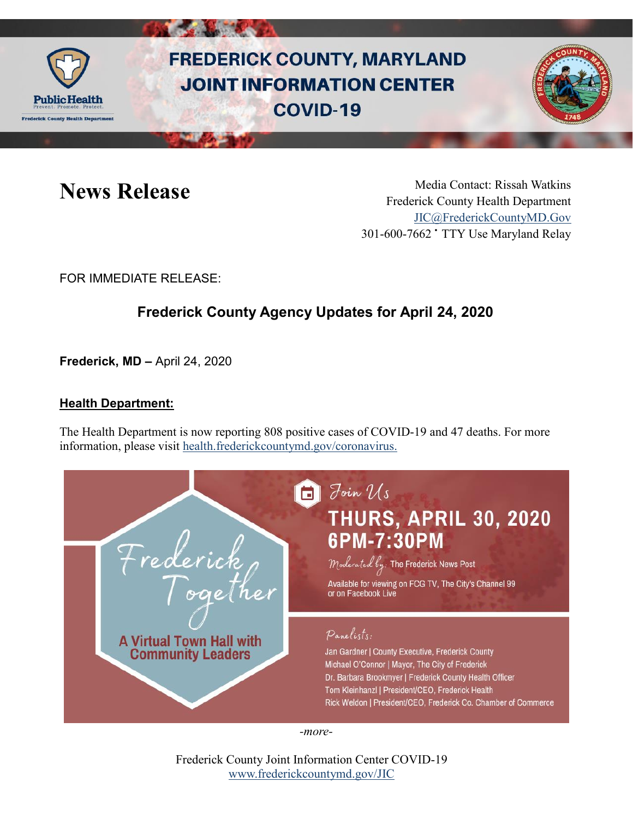

# **FREDERICK COUNTY, MARYLAND JOINT INFORMATION CENTER COVID-19**



**News Release** Media Contact: Rissah Watkins Frederick County Health Department [JIC@FrederickCountyMD.Gov](mailto:JIC@FrederickCountyMD.Gov) 301-600-7662 • TTY Use Maryland Relay

FOR IMMEDIATE RELEASE:

## **Frederick County Agency Updates for April 24, 2020**

**Frederick, MD –** April 24, 2020

#### **Health Department:**

The Health Department is now reporting 808 positive cases of COVID-19 and 47 deaths. For more information, please visit [health.frederickcountymd.gov/coronavirus.](https://health.frederickcountymd.gov/614/Novel-Coronavirus-COVID-19)

| rederick<br>oge<br><b>A Virtual Town Hall with</b><br><b>Community Leaders</b> | Foin $\mathcal{U}s$<br><b>THURS, APRIL 30, 2020</b><br>6PM-7:30PM<br>Moderated by: The Frederick News Post<br>Available for viewing on FCG TV, The City's Channel 99<br>or on Facebook Live                                                                                                        |
|--------------------------------------------------------------------------------|----------------------------------------------------------------------------------------------------------------------------------------------------------------------------------------------------------------------------------------------------------------------------------------------------|
|                                                                                | Panelists:<br>Jan Gardner   County Executive, Frederick County<br>Michael O'Connor   Mayor, The City of Frederick<br>Dr. Barbara Brookmyer   Frederick County Health Officer<br>Tom Kleinhanzl   President/CEO, Frederick Health<br>Rick Weldon   President/CEO, Frederick Co. Chamber of Commerce |

*-more-*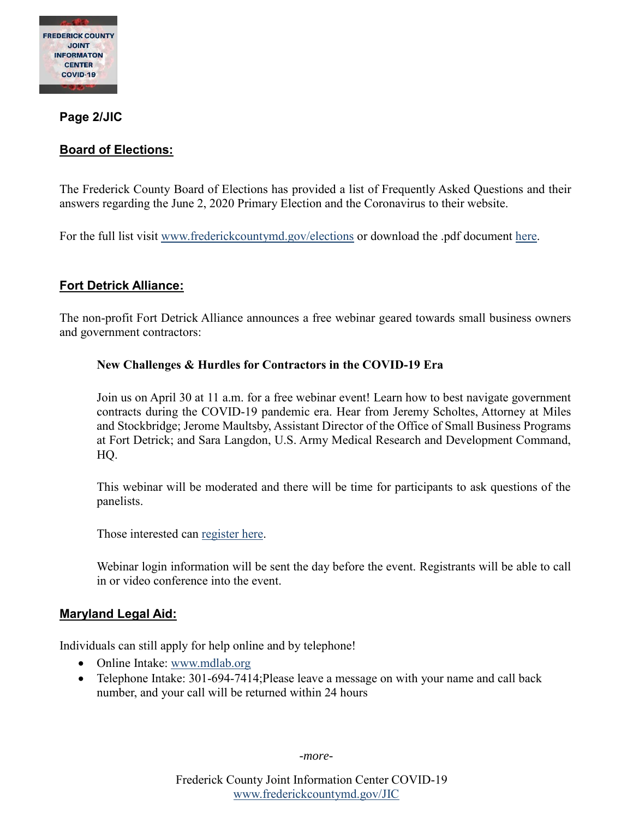

**Page 2/JIC**

#### **Board of Elections:**

The Frederick County Board of Elections has provided a list of Frequently Asked Questions and their answers regarding the June 2, 2020 Primary Election and the Coronavirus to their website.

For the full list visit [www.frederickcountymd.gov/elections](http://www.frederickcountymd.gov/elections) or download the .pdf document [here.](https://www.frederickcountymd.gov/DocumentCenter/View/325735/2020-04-23_June-2020-VBM-Primary-FAQ-v12?bidId=)

#### **Fort Detrick Alliance:**

The non-profit Fort Detrick Alliance announces a free webinar geared towards small business owners and government contractors:

#### **New Challenges & Hurdles for Contractors in the COVID-19 Era**

Join us on April 30 at 11 a.m. for a free webinar event! Learn how to best navigate government contracts during the COVID-19 pandemic era. Hear from Jeremy Scholtes, Attorney at Miles and Stockbridge; Jerome Maultsby, Assistant Director of the Office of Small Business Programs at Fort Detrick; and Sara Langdon, U.S. Army Medical Research and Development Command, HQ.

This webinar will be moderated and there will be time for participants to ask questions of the panelists.

Those interested can [register here.](https://cca.fortdetrickalliance.org/webforms/RepLogin.aspx?dbid2=MDFTDE&logintype=EVT&evtid=5403)

Webinar login information will be sent the day before the event. Registrants will be able to call in or video conference into the event.

#### **Maryland Legal Aid:**

Individuals can still apply for help online and by telephone!

- Online Intake: [www.mdlab.org](http://www.mdlab.org/)
- Telephone Intake: 301-694-7414; Please leave a message on with your name and call back number, and your call will be returned within 24 hours

*-more-*